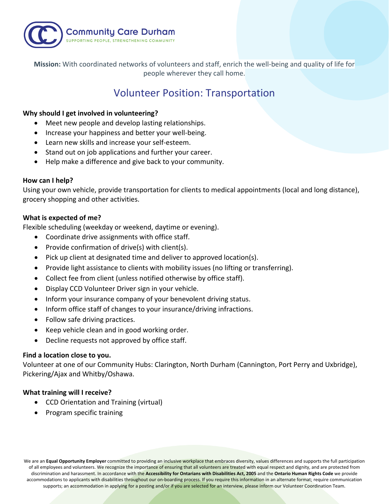

**Mission:** With coordinated networks of volunteers and staff, enrich the well-being and quality of life for people wherever they call home.

# Volunteer Position: Transportation

# **Why should I get involved in volunteering?**

- Meet new people and develop lasting relationships.
- Increase your happiness and better your well-being.
- Learn new skills and increase your self-esteem.
- Stand out on job applications and further your career.
- Help make a difference and give back to your community.

#### **How can I help?**

Using your own vehicle, provide transportation for clients to medical appointments (local and long distance), grocery shopping and other activities.

## **What is expected of me?**

Flexible scheduling (weekday or weekend, daytime or evening).

- Coordinate drive assignments with office staff.
- Provide confirmation of drive(s) with client(s).
- Pick up client at designated time and deliver to approved location(s).
- Provide light assistance to clients with mobility issues (no lifting or transferring).
- Collect fee from client (unless notified otherwise by office staff).
- Display CCD Volunteer Driver sign in your vehicle.
- Inform your insurance company of your benevolent driving status.
- Inform office staff of changes to your insurance/driving infractions.
- Follow safe driving practices.
- Keep vehicle clean and in good working order.
- Decline requests not approved by office staff.

# **Find a location close to you.**

Volunteer at one of our Community Hubs: Clarington, North Durham (Cannington, Port Perry and Uxbridge), Pickering/Ajax and Whitby/Oshawa.

# **What training will I receive?**

- CCD Orientation and Training (virtual)
- Program specific training

We are an **Equal Opportunity Employer** committed to providing an inclusive workplace that embraces diversity, values differences and supports the full participation of all employees and volunteers. We recognize the importance of ensuring that all volunteers are treated with equal respect and dignity, and are protected from discrimination and harassment. In accordance with the **Accessibility for Ontarians with Disabilities Act, 2005** and the **Ontario Human Rights Code** we provide accommodations to applicants with disabilities throughout our on-boarding process. If you require this information in an alternate format; require communication supports; an accommodation in applying for a posting and/or if you are selected for an interview, please inform our Volunteer Coordination Team.